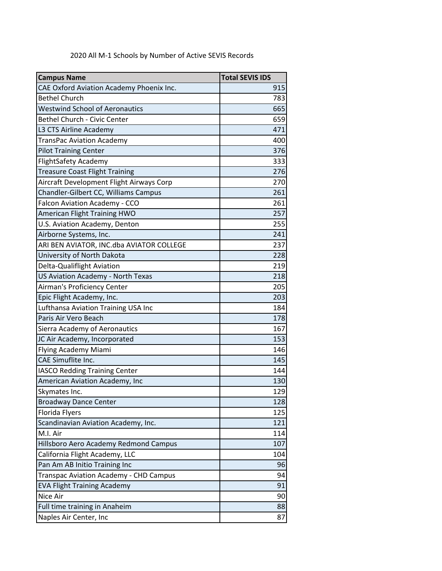| 2020 All M-1 Schools by Number of Active SEVIS Records |
|--------------------------------------------------------|
|                                                        |

| <b>Campus Name</b>                       | <b>Total SEVIS IDS</b> |
|------------------------------------------|------------------------|
| CAE Oxford Aviation Academy Phoenix Inc. | 915                    |
| <b>Bethel Church</b>                     | 783                    |
| <b>Westwind School of Aeronautics</b>    | 665                    |
| <b>Bethel Church - Civic Center</b>      | 659                    |
| L3 CTS Airline Academy                   | 471                    |
| TransPac Aviation Academy                | 400                    |
| <b>Pilot Training Center</b>             | 376                    |
| <b>FlightSafety Academy</b>              | 333                    |
| <b>Treasure Coast Flight Training</b>    | 276                    |
| Aircraft Development Flight Airways Corp | 270                    |
| Chandler-Gilbert CC, Williams Campus     | 261                    |
| Falcon Aviation Academy - CCO            | 261                    |
| American Flight Training HWO             | 257                    |
| U.S. Aviation Academy, Denton            | 255                    |
| Airborne Systems, Inc.                   | 241                    |
| ARI BEN AVIATOR, INC.dba AVIATOR COLLEGE | 237                    |
| University of North Dakota               | 228                    |
| Delta-Qualiflight Aviation               | 219                    |
| US Aviation Academy - North Texas        | 218                    |
| Airman's Proficiency Center              | 205                    |
| Epic Flight Academy, Inc.                | 203                    |
| Lufthansa Aviation Training USA Inc      | 184                    |
| Paris Air Vero Beach                     | 178                    |
| Sierra Academy of Aeronautics            | 167                    |
| JC Air Academy, Incorporated             | 153                    |
| Flying Academy Miami                     | 146                    |
| CAE Simuflite Inc.                       | 145                    |
| <b>IASCO Redding Training Center</b>     | 144                    |
| American Aviation Academy, Inc           | 130                    |
| Skymates Inc.                            | 129                    |
| <b>Broadway Dance Center</b>             | 128                    |
| Florida Flyers                           | 125                    |
| Scandinavian Aviation Academy, Inc.      | 121                    |
| M.I. Air                                 | 114                    |
| Hillsboro Aero Academy Redmond Campus    | 107                    |
| California Flight Academy, LLC           | 104                    |
| Pan Am AB Initio Training Inc            | 96                     |
| Transpac Aviation Academy - CHD Campus   | 94                     |
| <b>EVA Flight Training Academy</b>       | 91                     |
| Nice Air                                 | 90                     |
| Full time training in Anaheim            | 88                     |
| Naples Air Center, Inc                   | 87                     |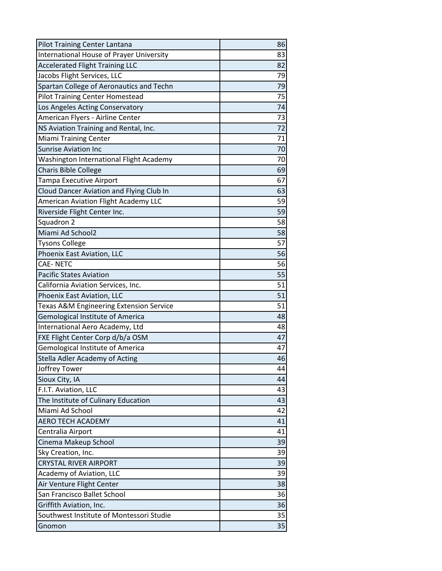| Pilot Training Center Lantana                      | 86 |
|----------------------------------------------------|----|
| International House of Prayer University           | 83 |
| <b>Accelerated Flight Training LLC</b>             | 82 |
| Jacobs Flight Services, LLC                        | 79 |
| Spartan College of Aeronautics and Techn           | 79 |
| <b>Pilot Training Center Homestead</b>             | 75 |
| Los Angeles Acting Conservatory                    | 74 |
| American Flyers - Airline Center                   | 73 |
| NS Aviation Training and Rental, Inc.              | 72 |
| <b>Miami Training Center</b>                       | 71 |
| <b>Sunrise Aviation Inc</b>                        | 70 |
| Washington International Flight Academy            | 70 |
| <b>Charis Bible College</b>                        | 69 |
| Tampa Executive Airport                            | 67 |
| Cloud Dancer Aviation and Flying Club In           | 63 |
| American Aviation Flight Academy LLC               | 59 |
| Riverside Flight Center Inc.                       | 59 |
| Squadron 2                                         | 58 |
| Miami Ad School2                                   | 58 |
| <b>Tysons College</b>                              | 57 |
| Phoenix East Aviation, LLC                         | 56 |
| <b>CAE-NETC</b>                                    | 56 |
| <b>Pacific States Aviation</b>                     | 55 |
| California Aviation Services, Inc.                 | 51 |
| Phoenix East Aviation, LLC                         | 51 |
| <b>Texas A&amp;M Engineering Extension Service</b> | 51 |
| <b>Gemological Institute of America</b>            | 48 |
| International Aero Academy, Ltd                    | 48 |
| FXE Flight Center Corp d/b/a OSM                   | 47 |
| Gemological Institute of America                   | 47 |
| Stella Adler Academy of Acting                     | 46 |
| Joffrey Tower                                      | 44 |
| Sioux City, IA                                     | 44 |
| F.I.T. Aviation, LLC                               | 43 |
| The Institute of Culinary Education                | 43 |
| Miami Ad School                                    | 42 |
| <b>AERO TECH ACADEMY</b>                           | 41 |
| Centralia Airport                                  | 41 |
| Cinema Makeup School                               | 39 |
| Sky Creation, Inc.                                 | 39 |
| <b>CRYSTAL RIVER AIRPORT</b>                       | 39 |
| Academy of Aviation, LLC                           | 39 |
| Air Venture Flight Center                          | 38 |
| San Francisco Ballet School                        | 36 |
| Griffith Aviation, Inc.                            | 36 |
| Southwest Institute of Montessori Studie           | 35 |
| Gnomon                                             | 35 |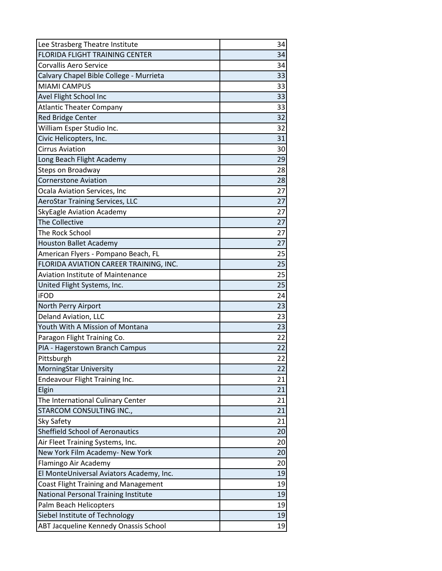| Lee Strasberg Theatre Institute             | 34 |
|---------------------------------------------|----|
| <b>FLORIDA FLIGHT TRAINING CENTER</b>       | 34 |
| <b>Corvallis Aero Service</b>               | 34 |
| Calvary Chapel Bible College - Murrieta     | 33 |
| <b>MIAMI CAMPUS</b>                         | 33 |
| Avel Flight School Inc                      | 33 |
| <b>Atlantic Theater Company</b>             | 33 |
| <b>Red Bridge Center</b>                    | 32 |
| William Esper Studio Inc.                   | 32 |
| Civic Helicopters, Inc.                     | 31 |
| <b>Cirrus Aviation</b>                      | 30 |
| Long Beach Flight Academy                   | 29 |
| Steps on Broadway                           | 28 |
| <b>Cornerstone Aviation</b>                 | 28 |
| Ocala Aviation Services, Inc                | 27 |
| <b>AeroStar Training Services, LLC</b>      | 27 |
| <b>SkyEagle Aviation Academy</b>            | 27 |
| The Collective                              | 27 |
| The Rock School                             | 27 |
| <b>Houston Ballet Academy</b>               | 27 |
| American Flyers - Pompano Beach, FL         | 25 |
| FLORIDA AVIATION CAREER TRAINING, INC.      | 25 |
| <b>Aviation Institute of Maintenance</b>    | 25 |
| United Flight Systems, Inc.                 | 25 |
| <b>iFOD</b>                                 | 24 |
| North Perry Airport                         | 23 |
| Deland Aviation, LLC                        | 23 |
| Youth With A Mission of Montana             | 23 |
| Paragon Flight Training Co.                 | 22 |
| PIA - Hagerstown Branch Campus              | 22 |
| Pittsburgh                                  | 22 |
| MorningStar University                      | 22 |
| Endeavour Flight Training Inc.              | 21 |
| Elgin                                       | 21 |
| The International Culinary Center           | 21 |
| STARCOM CONSULTING INC.,                    | 21 |
| Sky Safety                                  | 21 |
| <b>Sheffield School of Aeronautics</b>      | 20 |
| Air Fleet Training Systems, Inc.            | 20 |
| New York Film Academy- New York             | 20 |
| Flamingo Air Academy                        | 20 |
| El MonteUniversal Aviators Academy, Inc.    | 19 |
| <b>Coast Flight Training and Management</b> | 19 |
| National Personal Training Institute        | 19 |
| Palm Beach Helicopters                      | 19 |
| Siebel Institute of Technology              | 19 |
| ABT Jacqueline Kennedy Onassis School       | 19 |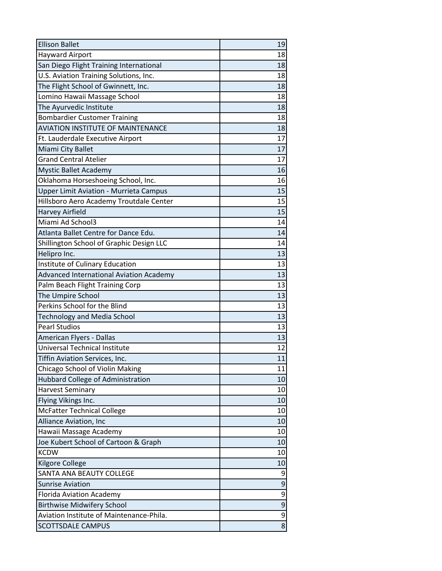| <b>Ellison Ballet</b>                          | 19             |
|------------------------------------------------|----------------|
| <b>Hayward Airport</b>                         | 18             |
| San Diego Flight Training International        | 18             |
| U.S. Aviation Training Solutions, Inc.         | 18             |
| The Flight School of Gwinnett, Inc.            | 18             |
| Lomino Hawaii Massage School                   | 18             |
| The Ayurvedic Institute                        | 18             |
| <b>Bombardier Customer Training</b>            | 18             |
| <b>AVIATION INSTITUTE OF MAINTENANCE</b>       | 18             |
| Ft. Lauderdale Executive Airport               | 17             |
| Miami City Ballet                              | 17             |
| <b>Grand Central Atelier</b>                   | 17             |
| <b>Mystic Ballet Academy</b>                   | 16             |
| Oklahoma Horseshoeing School, Inc.             | 16             |
| <b>Upper Limit Aviation - Murrieta Campus</b>  | 15             |
| Hillsboro Aero Academy Troutdale Center        | 15             |
| <b>Harvey Airfield</b>                         | 15             |
| Miami Ad School3                               | 14             |
| Atlanta Ballet Centre for Dance Edu.           | 14             |
| Shillington School of Graphic Design LLC       | 14             |
| Helipro Inc.                                   | 13             |
| Institute of Culinary Education                | 13             |
| <b>Advanced International Aviation Academy</b> | 13             |
| Palm Beach Flight Training Corp                | 13             |
| The Umpire School                              | 13             |
| Perkins School for the Blind                   | 13             |
| <b>Technology and Media School</b>             | 13             |
| <b>Pearl Studios</b>                           | 13             |
| American Flyers - Dallas                       | 13             |
| Universal Technical Institute                  | 12             |
| Tiffin Aviation Services, Inc.                 | 11             |
| Chicago School of Violin Making                | 11             |
| Hubbard College of Administration              | 10             |
| <b>Harvest Seminary</b>                        | 10             |
| Flying Vikings Inc.                            | 10             |
| <b>McFatter Technical College</b>              | 10             |
| Alliance Aviation, Inc                         | 10             |
| Hawaii Massage Academy                         | 10             |
| Joe Kubert School of Cartoon & Graph           | 10             |
| <b>KCDW</b>                                    | 10             |
| <b>Kilgore College</b>                         | 10             |
| SANTA ANA BEAUTY COLLEGE                       | 9              |
| <b>Sunrise Aviation</b>                        | $\overline{9}$ |
| Florida Aviation Academy                       | 9              |
| <b>Birthwise Midwifery School</b>              | $\overline{9}$ |
| Aviation Institute of Maintenance-Phila.       | 9              |
| SCOTTSDALE CAMPUS                              | $\overline{8}$ |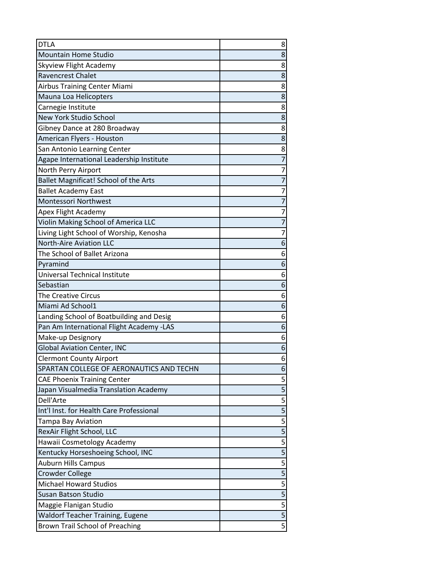| <b>DTLA</b>                              | 8                                    |
|------------------------------------------|--------------------------------------|
| <b>Mountain Home Studio</b>              | 8                                    |
| Skyview Flight Academy                   | 8                                    |
| <b>Ravencrest Chalet</b>                 | 8                                    |
| <b>Airbus Training Center Miami</b>      | 8                                    |
| Mauna Loa Helicopters                    | 8                                    |
| Carnegie Institute                       | 8                                    |
| New York Studio School                   | 8                                    |
| Gibney Dance at 280 Broadway             | 8                                    |
| American Flyers - Houston                | 8                                    |
| San Antonio Learning Center              | 8                                    |
| Agape International Leadership Institute | $\overline{7}$                       |
| North Perry Airport                      | 7                                    |
| Ballet Magnificat! School of the Arts    | $\overline{7}$                       |
| <b>Ballet Academy East</b>               | 7                                    |
| Montessori Northwest                     | $\overline{7}$                       |
| <b>Apex Flight Academy</b>               | 7                                    |
| Violin Making School of America LLC      | $\overline{7}$                       |
| Living Light School of Worship, Kenosha  | 7                                    |
| <b>North-Aire Aviation LLC</b>           | 6                                    |
| The School of Ballet Arizona             | 6                                    |
| Pyramind                                 | 6                                    |
| Universal Technical Institute            | 6                                    |
| Sebastian                                | 6                                    |
| <b>The Creative Circus</b>               | 6                                    |
| Miami Ad School1                         | 6                                    |
| Landing School of Boatbuilding and Desig | 6                                    |
| Pan Am International Flight Academy -LAS | 6                                    |
| Make-up Designory                        | 6                                    |
| <b>Global Aviation Center, INC</b>       | 6                                    |
| <b>Clermont County Airport</b>           | 6                                    |
| SPARTAN COLLEGE OF AERONAUTICS AND TECHN | 6                                    |
| <b>CAE Phoenix Training Center</b>       | 5                                    |
| Japan Visualmedia Translation Academy    | $\overline{5}$                       |
| Dell'Arte                                | $\overline{5}$                       |
| Int'l Inst. for Health Care Professional | $\overline{\overline{\overline{5}}}$ |
| Tampa Bay Aviation                       | $\overline{5}$                       |
| RexAir Flight School, LLC                | $\overline{5}$                       |
| Hawaii Cosmetology Academy               | $\overline{5}$                       |
| Kentucky Horseshoeing School, INC        | 5                                    |
| <b>Auburn Hills Campus</b>               | $\overline{5}$                       |
| <b>Crowder College</b>                   | $\overline{5}$                       |
| <b>Michael Howard Studios</b>            | $\overline{5}$                       |
| <b>Susan Batson Studio</b>               | $\overline{\overline{\overline{5}}}$ |
| Maggie Flanigan Studio                   | $\overline{5}$                       |
| Waldorf Teacher Training, Eugene         | $\overline{5}$                       |
| Brown Trail School of Preaching          | $\overline{5}$                       |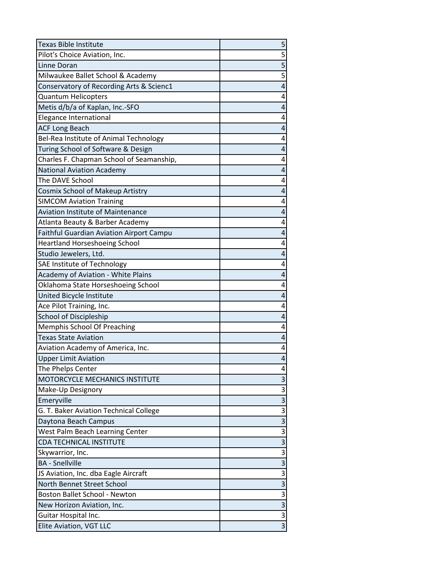| <b>Texas Bible Institute</b>                    | 5                         |
|-------------------------------------------------|---------------------------|
| Pilot's Choice Aviation, Inc.                   | $\overline{\mathbf{5}}$   |
| Linne Doran                                     | $\overline{5}$            |
| Milwaukee Ballet School & Academy               | 5                         |
| Conservatory of Recording Arts & Scienc1        | 4                         |
| <b>Quantum Helicopters</b>                      | 4                         |
| Metis d/b/a of Kaplan, Inc.-SFO                 | 4                         |
| Elegance International                          | 4                         |
| <b>ACF Long Beach</b>                           | 4                         |
| Bel-Rea Institute of Animal Technology          | 4                         |
| Turing School of Software & Design              | 4                         |
| Charles F. Chapman School of Seamanship,        | 4                         |
| <b>National Aviation Academy</b>                | 4                         |
| The DAVE School                                 | 4                         |
| Cosmix School of Makeup Artistry                | 4                         |
| <b>SIMCOM Aviation Training</b>                 | 4                         |
| <b>Aviation Institute of Maintenance</b>        | 4                         |
| Atlanta Beauty & Barber Academy                 | 4                         |
| <b>Faithful Guardian Aviation Airport Campu</b> | 4                         |
| <b>Heartland Horseshoeing School</b>            | 4                         |
| Studio Jewelers, Ltd.                           | 4                         |
| SAE Institute of Technology                     | 4                         |
| Academy of Aviation - White Plains              | 4                         |
| Oklahoma State Horseshoeing School              | 4                         |
| United Bicycle Institute                        | 4                         |
| Ace Pilot Training, Inc.                        | 4                         |
| School of Discipleship                          | 4                         |
| Memphis School Of Preaching                     | 4                         |
| <b>Texas State Aviation</b>                     | 4                         |
| Aviation Academy of America, Inc.               | 4                         |
| <b>Upper Limit Aviation</b>                     | 4                         |
| The Phelps Center                               | 4                         |
| MOTORCYCLE MECHANICS INSTITUTE                  | 3                         |
| Make-Up Designory                               | $\overline{3}$            |
| Emeryville                                      | $\overline{3}$            |
| G. T. Baker Aviation Technical College          | $\overline{3}$            |
| Daytona Beach Campus                            | $\overline{3}$            |
| West Palm Beach Learning Center                 | $\overline{\overline{3}}$ |
| <b>CDA TECHNICAL INSTITUTE</b>                  | $\overline{\mathbf{3}}$   |
| Skywarrior, Inc.                                | $\overline{\mathbf{3}}$   |
| <b>BA</b> - Snellville                          | $\overline{3}$            |
| JS Aviation, Inc. dba Eagle Aircraft            | $\overline{\mathbf{3}}$   |
| North Bennet Street School                      | $\overline{\mathbf{3}}$   |
| <b>Boston Ballet School - Newton</b>            | $\overline{3}$            |
| New Horizon Aviation, Inc.                      | $\frac{3}{3}$             |
| Guitar Hospital Inc.                            |                           |
| Elite Aviation, VGT LLC                         | $\overline{3}$            |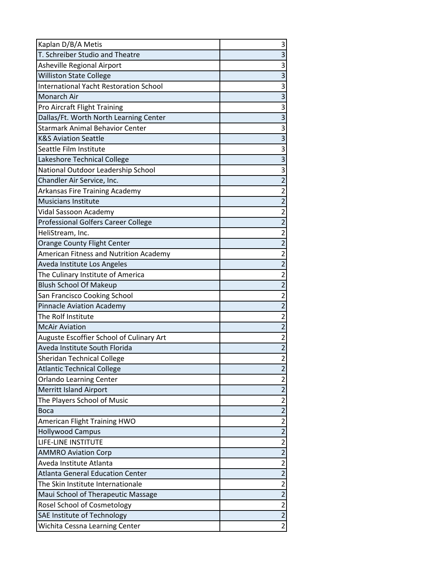| Kaplan D/B/A Metis                            | 3                         |
|-----------------------------------------------|---------------------------|
| T. Schreiber Studio and Theatre               | $\overline{3}$            |
| Asheville Regional Airport                    | 3                         |
| <b>Williston State College</b>                | $\overline{3}$            |
| <b>International Yacht Restoration School</b> | $\overline{3}$            |
| Monarch Air                                   | $\overline{3}$            |
| Pro Aircraft Flight Training                  | 3                         |
| Dallas/Ft. Worth North Learning Center        | $\overline{3}$            |
| <b>Starmark Animal Behavior Center</b>        | $\overline{\overline{3}}$ |
| <b>K&amp;S Aviation Seattle</b>               | $\overline{3}$            |
| Seattle Film Institute                        | $\overline{3}$            |
| Lakeshore Technical College                   | $\overline{3}$            |
| National Outdoor Leadership School            | $\overline{3}$            |
| Chandler Air Service, Inc.                    | $\overline{2}$            |
| Arkansas Fire Training Academy                | $\overline{c}$            |
| <b>Musicians Institute</b>                    | $\overline{2}$            |
| Vidal Sassoon Academy                         | $\overline{c}$            |
| Professional Golfers Career College           | $\overline{2}$            |
| HeliStream, Inc.                              | $\overline{c}$            |
| Orange County Flight Center                   | $\overline{2}$            |
| American Fitness and Nutrition Academy        | $\overline{2}$            |
| Aveda Institute Los Angeles                   | $\overline{2}$            |
| The Culinary Institute of America             | $\overline{2}$            |
| <b>Blush School Of Makeup</b>                 | $\overline{2}$            |
| San Francisco Cooking School                  | $\overline{2}$            |
| <b>Pinnacle Aviation Academy</b>              | $\overline{2}$            |
| The Rolf Institute                            | $\overline{2}$            |
| <b>McAir Aviation</b>                         | $\overline{2}$            |
| Auguste Escoffier School of Culinary Art      | $\overline{\mathbf{c}}$   |
| Aveda Institute South Florida                 | $\overline{2}$            |
| <b>Sheridan Technical College</b>             | $\overline{2}$            |
| <b>Atlantic Technical College</b>             | $\overline{2}$            |
| <b>Orlando Learning Center</b>                | $\overline{\mathbf{c}}$   |
| <b>Merritt Island Airport</b>                 | $\overline{2}$            |
| The Players School of Music                   | $\overline{2}$            |
| <b>Boca</b>                                   | $\overline{c}$            |
| American Flight Training HWO                  | $\overline{c}$            |
| <b>Hollywood Campus</b>                       | $\overline{2}$            |
| LIFE-LINE INSTITUTE                           | $\overline{\mathbf{c}}$   |
| <b>AMMRO Aviation Corp</b>                    | $\overline{2}$            |
| Aveda Institute Atlanta                       | $\overline{c}$            |
| <b>Atlanta General Education Center</b>       | $\overline{2}$            |
| The Skin Institute Internationale             | $\overline{2}$            |
| Maui School of Therapeutic Massage            | $\overline{2}$            |
| Rosel School of Cosmetology                   | $\overline{2}$            |
| SAE Institute of Technology                   | $\overline{2}$            |
| Wichita Cessna Learning Center                | $\overline{2}$            |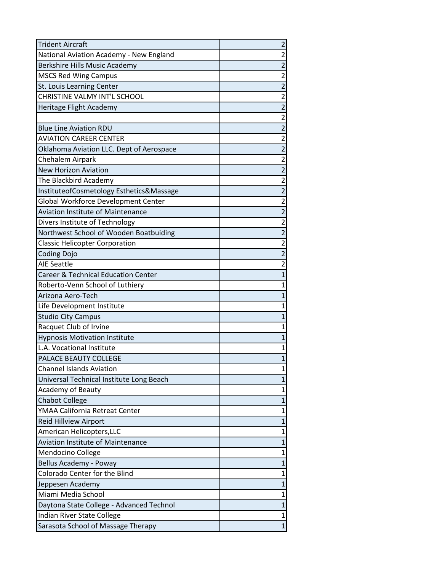| <b>Trident Aircraft</b>                        | $\overline{\mathbf{c}}$ |
|------------------------------------------------|-------------------------|
| National Aviation Academy - New England        | 2                       |
| Berkshire Hills Music Academy                  | $\overline{2}$          |
| <b>MSCS Red Wing Campus</b>                    | $\overline{c}$          |
| St. Louis Learning Center                      | $\overline{c}$          |
| CHRISTINE VALMY INT'L SCHOOL                   | $\overline{c}$          |
| Heritage Flight Academy                        | $\overline{2}$          |
|                                                | $\overline{\mathbf{c}}$ |
| <b>Blue Line Aviation RDU</b>                  | $\overline{2}$          |
| <b>AVIATION CAREER CENTER</b>                  | $\overline{\mathbf{c}}$ |
| Oklahoma Aviation LLC. Dept of Aerospace       | $\overline{c}$          |
| Chehalem Airpark                               | $\overline{\mathbf{c}}$ |
| <b>New Horizon Aviation</b>                    | $\overline{2}$          |
| The Blackbird Academy                          | $\overline{\mathbf{c}}$ |
| InstituteofCosmetology Esthetics&Massage       | $\overline{2}$          |
| Global Workforce Development Center            | $\overline{\mathbf{c}}$ |
| <b>Aviation Institute of Maintenance</b>       | $\overline{c}$          |
| Divers Institute of Technology                 | $\overline{\mathbf{c}}$ |
| Northwest School of Wooden Boatbuiding         | $\overline{2}$          |
| <b>Classic Helicopter Corporation</b>          | $\overline{\mathbf{c}}$ |
| <b>Coding Dojo</b>                             | $\overline{2}$          |
| <b>AIE Seattle</b>                             | $\overline{2}$          |
| <b>Career &amp; Technical Education Center</b> | $\overline{1}$          |
| Roberto-Venn School of Luthiery                | $\mathbf{1}$            |
| Arizona Aero-Tech                              | $\mathbf{1}$            |
| Life Development Institute                     | $\mathbf{1}$            |
| <b>Studio City Campus</b>                      | $\mathbf{1}$            |
| Racquet Club of Irvine                         | $\mathbf 1$             |
| <b>Hypnosis Motivation Institute</b>           | $\mathbf{1}$            |
| L.A. Vocational Institute                      | $\mathbf 1$             |
| PALACE BEAUTY COLLEGE                          | $\mathbf{1}$            |
| <b>Channel Islands Aviation</b>                | 1                       |
| Universal Technical Institute Long Beach       | $\overline{1}$          |
| <b>Academy of Beauty</b>                       | $\mathbf 1$             |
| <b>Chabot College</b>                          | $\mathbf{1}$            |
| YMAA California Retreat Center                 | $\mathbf 1$             |
| Reid Hillview Airport                          | $\overline{1}$          |
| American Helicopters, LLC                      | $\mathbf 1$             |
| <b>Aviation Institute of Maintenance</b>       | $\overline{1}$          |
| Mendocino College                              | $\mathbf 1$             |
| Bellus Academy - Poway                         | $\mathbf{1}$            |
| Colorado Center for the Blind                  | $\mathbf 1$             |
| Jeppesen Academy                               | $\mathbf{1}$            |
| Miami Media School                             | 1                       |
| Daytona State College - Advanced Technol       | $\mathbf{1}$            |
| Indian River State College                     | 1                       |
| Sarasota School of Massage Therapy             | $\overline{1}$          |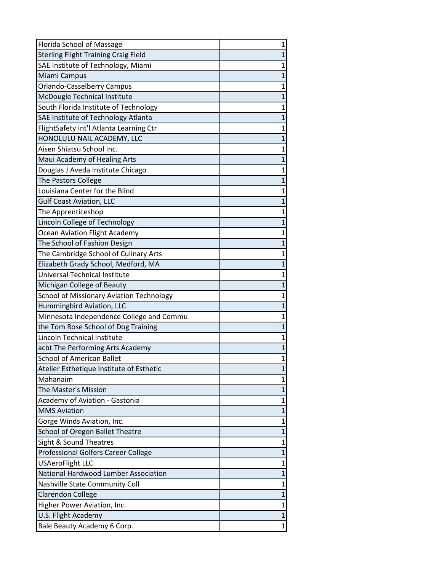| Florida School of Massage                       | 1              |
|-------------------------------------------------|----------------|
| <b>Sterling Flight Training Craig Field</b>     | $\overline{1}$ |
| SAE Institute of Technology, Miami              | $\mathbf 1$    |
| Miami Campus                                    | $\overline{1}$ |
| <b>Orlando-Casselberry Campus</b>               | $\mathbf 1$    |
| McDougle Technical Institute                    | $\overline{1}$ |
| South Florida Institute of Technology           | $\mathbf{1}$   |
| SAE Institute of Technology Atlanta             | $\overline{1}$ |
| FlightSafety Int'l Atlanta Learning Ctr         | $\mathbf 1$    |
| HONOLULU NAIL ACADEMY, LLC                      | $\mathbf{1}$   |
| Aisen Shiatsu School Inc.                       | $\mathbf 1$    |
| Maui Academy of Healing Arts                    | $\overline{1}$ |
| Douglas J Aveda Institute Chicago               | 1              |
| The Pastors College                             | $\overline{1}$ |
| Louisiana Center for the Blind                  | $\overline{1}$ |
| <b>Gulf Coast Aviation, LLC</b>                 | $\overline{1}$ |
| The Apprenticeshop                              | $\mathbf 1$    |
| Lincoln College of Technology                   | $\overline{1}$ |
| Ocean Aviation Flight Academy                   | 1              |
| The School of Fashion Design                    | $\overline{1}$ |
| The Cambridge School of Culinary Arts           | $\overline{1}$ |
| Elizabeth Grady School, Medford, MA             | $\overline{1}$ |
| Universal Technical Institute                   | $\mathbf{1}$   |
| Michigan College of Beauty                      | $\overline{1}$ |
| <b>School of Missionary Aviation Technology</b> | $\mathbf 1$    |
| Hummingbird Aviation, LLC                       | $\overline{1}$ |
| Minnesota Independence College and Commu        | $\mathbf 1$    |
| the Tom Rose School of Dog Training             | $\overline{1}$ |
| Lincoln Technical Institute                     | 1              |
| acbt The Performing Arts Academy                | $\overline{1}$ |
| <b>School of American Ballet</b>                | $\mathbf 1$    |
| Atelier Esthetique Institute of Esthetic        | 1              |
| Mahanaim                                        | 1              |
| The Master's Mission                            | $\overline{1}$ |
| Academy of Aviation - Gastonia                  | $\mathbf{1}$   |
| <b>MMS Aviation</b>                             | $\overline{1}$ |
| Gorge Winds Aviation, Inc.                      | $\mathbf 1$    |
| School of Oregon Ballet Theatre                 | $\overline{1}$ |
| Sight & Sound Theatres                          | $\overline{1}$ |
| Professional Golfers Career College             | $\overline{1}$ |
| <b>USAeroFlight LLC</b>                         | 1              |
| National Hardwood Lumber Association            | $\overline{1}$ |
| Nashville State Community Coll                  | $\mathbf{1}$   |
| <b>Clarendon College</b>                        | $\overline{1}$ |
| Higher Power Aviation, Inc.                     | 1              |
| U.S. Flight Academy                             | $\mathbf{1}$   |
| Bale Beauty Academy 6 Corp.                     | $\mathbf 1$    |